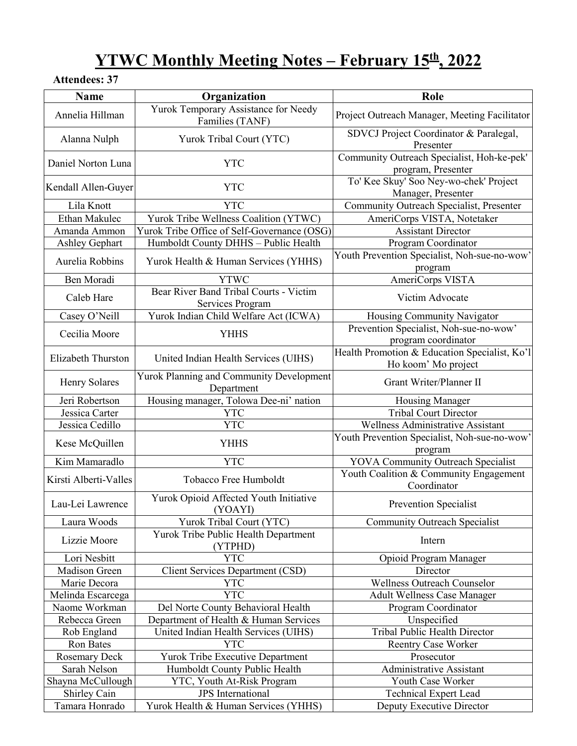## **YTWC Monthly Meeting Notes – February 15th, 2022**

### **Attendees: 37**

| Name                  | Organization                                               | Role                                                                 |
|-----------------------|------------------------------------------------------------|----------------------------------------------------------------------|
| Annelia Hillman       | Yurok Temporary Assistance for Needy<br>Families (TANF)    | Project Outreach Manager, Meeting Facilitator                        |
| Alanna Nulph          | Yurok Tribal Court (YTC)                                   | SDVCJ Project Coordinator & Paralegal,<br>Presenter                  |
| Daniel Norton Luna    | <b>YTC</b>                                                 | Community Outreach Specialist, Hoh-ke-pek'<br>program, Presenter     |
| Kendall Allen-Guyer   | <b>YTC</b>                                                 | To' Kee Skuy' Soo Ney-wo-chek' Project<br>Manager, Presenter         |
| Lila Knott            | <b>YTC</b>                                                 | Community Outreach Specialist, Presenter                             |
| Ethan Makulec         | Yurok Tribe Wellness Coalition (YTWC)                      | AmeriCorps VISTA, Notetaker                                          |
| Amanda Ammon          | Yurok Tribe Office of Self-Governance (OSG)                | <b>Assistant Director</b>                                            |
| Ashley Gephart        | Humboldt County DHHS - Public Health                       | Program Coordinator                                                  |
| Aurelia Robbins       | Yurok Health & Human Services (YHHS)                       | Youth Prevention Specialist, Noh-sue-no-wow'<br>program              |
| Ben Moradi            | <b>YTWC</b>                                                | AmeriCorps VISTA                                                     |
| Caleb Hare            | Bear River Band Tribal Courts - Victim<br>Services Program | Victim Advocate                                                      |
| Casey O'Neill         | Yurok Indian Child Welfare Act (ICWA)                      | Housing Community Navigator                                          |
| Cecilia Moore         | <b>YHHS</b>                                                | Prevention Specialist, Noh-sue-no-wow'<br>program coordinator        |
| Elizabeth Thurston    | United Indian Health Services (UIHS)                       | Health Promotion & Education Specialist, Ko'l<br>Ho koom' Mo project |
| Henry Solares         | Yurok Planning and Community Development<br>Department     | Grant Writer/Planner II                                              |
| Jeri Robertson        | Housing manager, Tolowa Dee-ni' nation                     | Housing Manager                                                      |
| Jessica Carter        | <b>YTC</b>                                                 | <b>Tribal Court Director</b>                                         |
| Jessica Cedillo       | <b>YTC</b>                                                 | Wellness Administrative Assistant                                    |
| Kese McQuillen        | <b>YHHS</b>                                                | Youth Prevention Specialist, Noh-sue-no-wow'<br>program              |
| Kim Mamaradlo         | <b>YTC</b>                                                 | <b>YOVA Community Outreach Specialist</b>                            |
| Kirsti Alberti-Valles | Tobacco Free Humboldt                                      | Youth Coalition & Community Engagement<br>Coordinator                |
| Lau-Lei Lawrence      | Yurok Opioid Affected Youth Initiative<br>(YOAYI)          | <b>Prevention Specialist</b>                                         |
| Laura Woods           | Yurok Tribal Court (YTC)                                   | <b>Community Outreach Specialist</b>                                 |
| Lizzie Moore          | Yurok Tribe Public Health Department<br>(YTPHD)            | Intern                                                               |
| Lori Nesbitt          | <b>YTC</b>                                                 | Opioid Program Manager                                               |
| Madison Green         | <b>Client Services Department (CSD)</b>                    | Director                                                             |
| Marie Decora          | <b>YTC</b>                                                 | Wellness Outreach Counselor                                          |
| Melinda Escarcega     | <b>YTC</b>                                                 | <b>Adult Wellness Case Manager</b>                                   |
| Naome Workman         | Del Norte County Behavioral Health                         | Program Coordinator                                                  |
| Rebecca Green         | Department of Health & Human Services                      | Unspecified                                                          |
| Rob England           | United Indian Health Services (UIHS)                       | Tribal Public Health Director                                        |
| Ron Bates             | <b>YTC</b>                                                 | <b>Reentry Case Worker</b>                                           |
| <b>Rosemary Deck</b>  | Yurok Tribe Executive Department                           | Prosecutor                                                           |
| Sarah Nelson          | Humboldt County Public Health                              | <b>Administrative Assistant</b>                                      |
| Shayna McCullough     | YTC, Youth At-Risk Program                                 | Youth Case Worker                                                    |
| Shirley Cain          | <b>JPS</b> International                                   | <b>Technical Expert Lead</b>                                         |
| Tamara Honrado        | Yurok Health & Human Services (YHHS)                       | Deputy Executive Director                                            |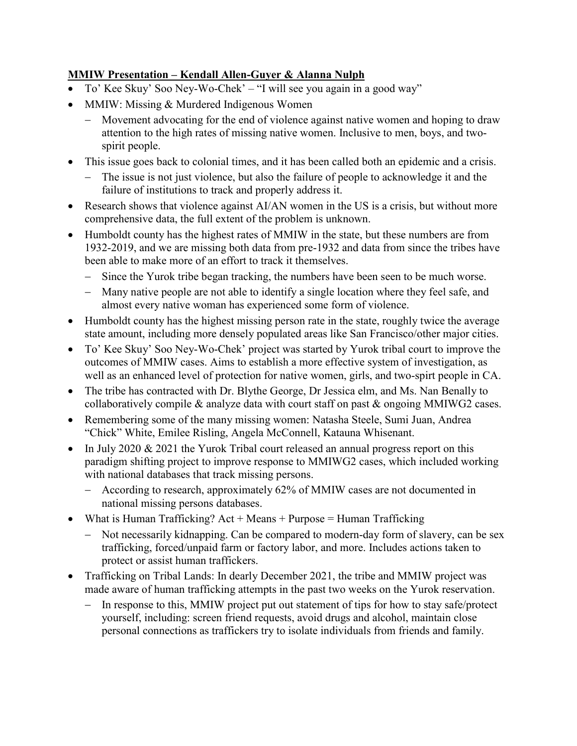#### **MMIW Presentation – Kendall Allen-Guyer & Alanna Nulph**

- To' Kee Skuy' Soo Ney-Wo-Chek' "I will see you again in a good way"
- MMIW: Missing & Murdered Indigenous Women
	- − Movement advocating for the end of violence against native women and hoping to draw attention to the high rates of missing native women. Inclusive to men, boys, and twospirit people.
- This issue goes back to colonial times, and it has been called both an epidemic and a crisis.
	- The issue is not just violence, but also the failure of people to acknowledge it and the failure of institutions to track and properly address it.
- Research shows that violence against AI/AN women in the US is a crisis, but without more comprehensive data, the full extent of the problem is unknown.
- Humboldt county has the highest rates of MMIW in the state, but these numbers are from 1932-2019, and we are missing both data from pre-1932 and data from since the tribes have been able to make more of an effort to track it themselves.
	- − Since the Yurok tribe began tracking, the numbers have been seen to be much worse.
	- − Many native people are not able to identify a single location where they feel safe, and almost every native woman has experienced some form of violence.
- Humboldt county has the highest missing person rate in the state, roughly twice the average state amount, including more densely populated areas like San Francisco/other major cities.
- To' Kee Skuy' Soo Ney-Wo-Chek' project was started by Yurok tribal court to improve the outcomes of MMIW cases. Aims to establish a more effective system of investigation, as well as an enhanced level of protection for native women, girls, and two-spirt people in CA.
- The tribe has contracted with Dr. Blythe George, Dr Jessica elm, and Ms. Nan Benally to collaboratively compile & analyze data with court staff on past & ongoing MMIWG2 cases.
- Remembering some of the many missing women: Natasha Steele, Sumi Juan, Andrea "Chick" White, Emilee Risling, Angela McConnell, Katauna Whisenant.
- In July 2020 & 2021 the Yurok Tribal court released an annual progress report on this paradigm shifting project to improve response to MMIWG2 cases, which included working with national databases that track missing persons.
	- − According to research, approximately 62% of MMIW cases are not documented in national missing persons databases.
- What is Human Trafficking?  $Act + Means + Purpose = Human Trafficking$ 
	- − Not necessarily kidnapping. Can be compared to modern-day form of slavery, can be sex trafficking, forced/unpaid farm or factory labor, and more. Includes actions taken to protect or assist human traffickers.
- Trafficking on Tribal Lands: In dearly December 2021, the tribe and MMIW project was made aware of human trafficking attempts in the past two weeks on the Yurok reservation.
	- − In response to this, MMIW project put out statement of tips for how to stay safe/protect yourself, including: screen friend requests, avoid drugs and alcohol, maintain close personal connections as traffickers try to isolate individuals from friends and family.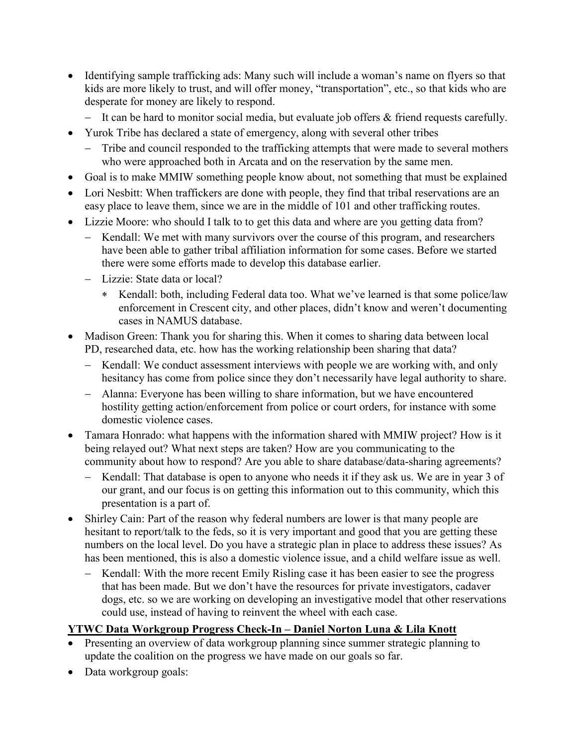- Identifying sample trafficking ads: Many such will include a woman's name on flyers so that kids are more likely to trust, and will offer money, "transportation", etc., so that kids who are desperate for money are likely to respond.
	- − It can be hard to monitor social media, but evaluate job offers & friend requests carefully.
- Yurok Tribe has declared a state of emergency, along with several other tribes
	- − Tribe and council responded to the trafficking attempts that were made to several mothers who were approached both in Arcata and on the reservation by the same men.
- Goal is to make MMIW something people know about, not something that must be explained
- Lori Nesbitt: When traffickers are done with people, they find that tribal reservations are an easy place to leave them, since we are in the middle of 101 and other trafficking routes.
- Lizzie Moore: who should I talk to to get this data and where are you getting data from?
	- Kendall: We met with many survivors over the course of this program, and researchers have been able to gather tribal affiliation information for some cases. Before we started there were some efforts made to develop this database earlier.
	- − Lizzie: State data or local?
		- ∗ Kendall: both, including Federal data too. What we've learned is that some police/law enforcement in Crescent city, and other places, didn't know and weren't documenting cases in NAMUS database.
- Madison Green: Thank you for sharing this. When it comes to sharing data between local PD, researched data, etc. how has the working relationship been sharing that data?
	- − Kendall: We conduct assessment interviews with people we are working with, and only hesitancy has come from police since they don't necessarily have legal authority to share.
	- − Alanna: Everyone has been willing to share information, but we have encountered hostility getting action/enforcement from police or court orders, for instance with some domestic violence cases.
- Tamara Honrado: what happens with the information shared with MMIW project? How is it being relayed out? What next steps are taken? How are you communicating to the community about how to respond? Are you able to share database/data-sharing agreements?
	- Kendall: That database is open to anyone who needs it if they ask us. We are in year 3 of our grant, and our focus is on getting this information out to this community, which this presentation is a part of.
- Shirley Cain: Part of the reason why federal numbers are lower is that many people are hesitant to report/talk to the feds, so it is very important and good that you are getting these numbers on the local level. Do you have a strategic plan in place to address these issues? As has been mentioned, this is also a domestic violence issue, and a child welfare issue as well.
	- − Kendall: With the more recent Emily Risling case it has been easier to see the progress that has been made. But we don't have the resources for private investigators, cadaver dogs, etc. so we are working on developing an investigative model that other reservations could use, instead of having to reinvent the wheel with each case.

### **YTWC Data Workgroup Progress Check-In – Daniel Norton Luna & Lila Knott**

- Presenting an overview of data workgroup planning since summer strategic planning to update the coalition on the progress we have made on our goals so far.
- Data workgroup goals: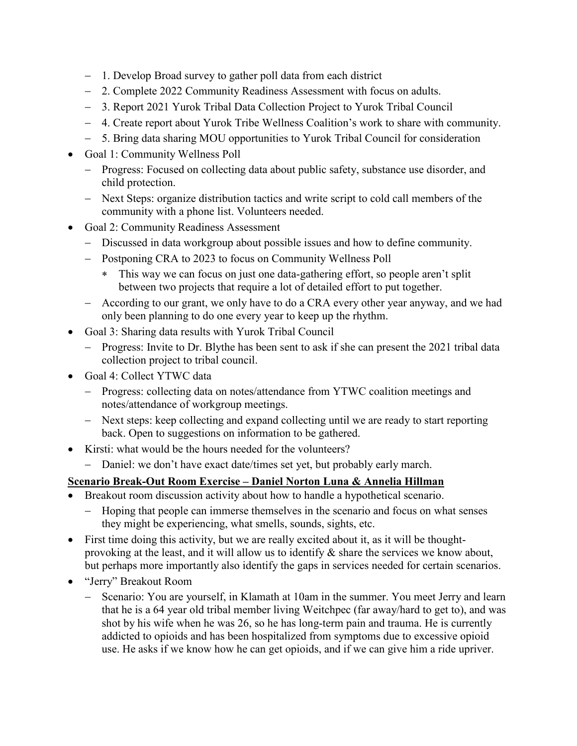- − 1. Develop Broad survey to gather poll data from each district
- − 2. Complete 2022 Community Readiness Assessment with focus on adults.
- − 3. Report 2021 Yurok Tribal Data Collection Project to Yurok Tribal Council
- − 4. Create report about Yurok Tribe Wellness Coalition's work to share with community.
- − 5. Bring data sharing MOU opportunities to Yurok Tribal Council for consideration
- Goal 1: Community Wellness Poll
	- − Progress: Focused on collecting data about public safety, substance use disorder, and child protection.
	- − Next Steps: organize distribution tactics and write script to cold call members of the community with a phone list. Volunteers needed.
- Goal 2: Community Readiness Assessment
	- − Discussed in data workgroup about possible issues and how to define community.
	- − Postponing CRA to 2023 to focus on Community Wellness Poll
		- ∗ This way we can focus on just one data-gathering effort, so people aren't split between two projects that require a lot of detailed effort to put together.
	- − According to our grant, we only have to do a CRA every other year anyway, and we had only been planning to do one every year to keep up the rhythm.
- Goal 3: Sharing data results with Yurok Tribal Council
	- − Progress: Invite to Dr. Blythe has been sent to ask if she can present the 2021 tribal data collection project to tribal council.
- Goal 4: Collect YTWC data
	- − Progress: collecting data on notes/attendance from YTWC coalition meetings and notes/attendance of workgroup meetings.
	- − Next steps: keep collecting and expand collecting until we are ready to start reporting back. Open to suggestions on information to be gathered.
- Kirsti: what would be the hours needed for the volunteers?
	- − Daniel: we don't have exact date/times set yet, but probably early march.

### **Scenario Break-Out Room Exercise – Daniel Norton Luna & Annelia Hillman**

- Breakout room discussion activity about how to handle a hypothetical scenario.
	- − Hoping that people can immerse themselves in the scenario and focus on what senses they might be experiencing, what smells, sounds, sights, etc.
- First time doing this activity, but we are really excited about it, as it will be thoughtprovoking at the least, and it will allow us to identify & share the services we know about, but perhaps more importantly also identify the gaps in services needed for certain scenarios.
- "Jerry" Breakout Room
	- − Scenario: You are yourself, in Klamath at 10am in the summer. You meet Jerry and learn that he is a 64 year old tribal member living Weitchpec (far away/hard to get to), and was shot by his wife when he was 26, so he has long-term pain and trauma. He is currently addicted to opioids and has been hospitalized from symptoms due to excessive opioid use. He asks if we know how he can get opioids, and if we can give him a ride upriver.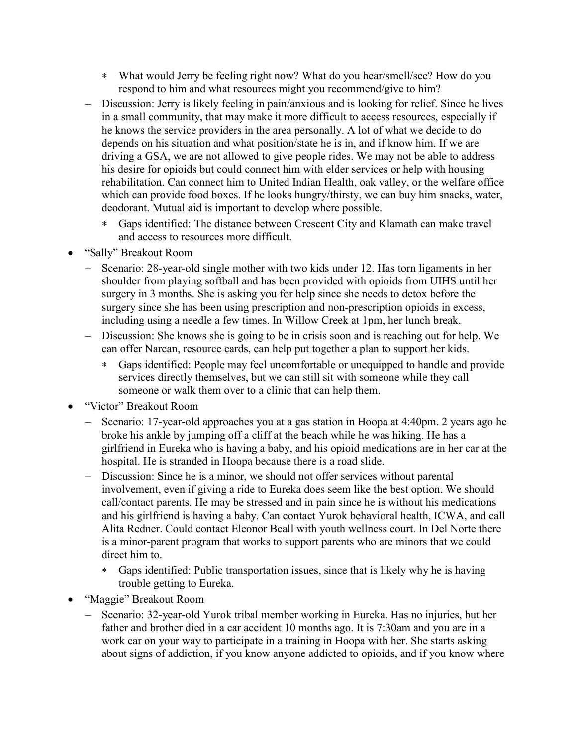- ∗ What would Jerry be feeling right now? What do you hear/smell/see? How do you respond to him and what resources might you recommend/give to him?
- − Discussion: Jerry is likely feeling in pain/anxious and is looking for relief. Since he lives in a small community, that may make it more difficult to access resources, especially if he knows the service providers in the area personally. A lot of what we decide to do depends on his situation and what position/state he is in, and if know him. If we are driving a GSA, we are not allowed to give people rides. We may not be able to address his desire for opioids but could connect him with elder services or help with housing rehabilitation. Can connect him to United Indian Health, oak valley, or the welfare office which can provide food boxes. If he looks hungry/thirsty, we can buy him snacks, water, deodorant. Mutual aid is important to develop where possible.
	- ∗ Gaps identified: The distance between Crescent City and Klamath can make travel and access to resources more difficult.
- "Sally" Breakout Room
	- − Scenario: 28-year-old single mother with two kids under 12. Has torn ligaments in her shoulder from playing softball and has been provided with opioids from UIHS until her surgery in 3 months. She is asking you for help since she needs to detox before the surgery since she has been using prescription and non-prescription opioids in excess, including using a needle a few times. In Willow Creek at 1pm, her lunch break.
	- − Discussion: She knows she is going to be in crisis soon and is reaching out for help. We can offer Narcan, resource cards, can help put together a plan to support her kids.
		- ∗ Gaps identified: People may feel uncomfortable or unequipped to handle and provide services directly themselves, but we can still sit with someone while they call someone or walk them over to a clinic that can help them.
- "Victor" Breakout Room
	- − Scenario: 17-year-old approaches you at a gas station in Hoopa at 4:40pm. 2 years ago he broke his ankle by jumping off a cliff at the beach while he was hiking. He has a girlfriend in Eureka who is having a baby, and his opioid medications are in her car at the hospital. He is stranded in Hoopa because there is a road slide.
	- − Discussion: Since he is a minor, we should not offer services without parental involvement, even if giving a ride to Eureka does seem like the best option. We should call/contact parents. He may be stressed and in pain since he is without his medications and his girlfriend is having a baby. Can contact Yurok behavioral health, ICWA, and call Alita Redner. Could contact Eleonor Beall with youth wellness court. In Del Norte there is a minor-parent program that works to support parents who are minors that we could direct him to.
		- ∗ Gaps identified: Public transportation issues, since that is likely why he is having trouble getting to Eureka.
- "Maggie" Breakout Room
	- − Scenario: 32-year-old Yurok tribal member working in Eureka. Has no injuries, but her father and brother died in a car accident 10 months ago. It is 7:30am and you are in a work car on your way to participate in a training in Hoopa with her. She starts asking about signs of addiction, if you know anyone addicted to opioids, and if you know where